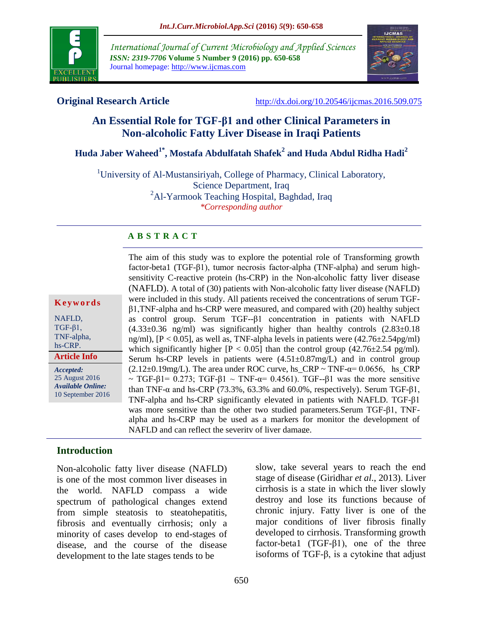

*International Journal of Current Microbiology and Applied Sciences ISSN: 2319-7706* **Volume 5 Number 9 (2016) pp. 650-658** Journal homepage: http://www.ijcmas.com



**Original Research Article** <http://dx.doi.org/10.20546/ijcmas.2016.509.075>

# **An Essential Role for TGF-β1 and other Clinical Parameters in Non-alcoholic Fatty Liver Disease in Iraqi Patients**

# **Huda Jaber Waheed1\* , Mostafa Abdulfatah Shafek<sup>2</sup> and Huda Abdul Ridha Hadi<sup>2</sup>**

<sup>1</sup>University of Al-Mustansiriyah, College of Pharmacy, Clinical Laboratory, Science Department, Iraq <sup>2</sup>Al-Yarmook Teaching Hospital, Baghdad, Iraq *\*Corresponding author*

#### **A B S T R A C T**

**K e y w o r d s** NAFLD,

 $TGF- $\beta$ 1,$ TNF-alpha, hs-CRP.

*Accepted:*  **Article Info**

25 August 2016 *Available Online:* 10 September 2016 factor-beta1 (TGF-β1), tumor necrosis factor-alpha (TNF-alpha) and serum highsensitivity C-reactive protein (hs-CRP) in the Non-alcoholic fatty liver disease (NAFLD). A total of (30) patients with Non-alcoholic fatty liver disease (NAFLD) were included in this study. All patients received the concentrations of serum TGFβ1,TNF-alpha and hs-CRP were measured, and compared with (20) healthy subject as control group. Serum TGF--β1 concentration in patients with NAFLD  $(4.33\pm0.36 \text{ ng/ml})$  was significantly higher than healthy controls  $(2.83\pm0.18$ ng/ml),  $[P < 0.05]$ , as well as, TNF-alpha levels in patients were  $(42.76 \pm 2.54 \text{pg/ml})$ which significantly higher  $[P < 0.05]$  than the control group  $(42.76 \pm 2.54 \text{ pg/ml})$ . Serum hs-CRP levels in patients were  $(4.51 \pm 0.87 \text{mg/L})$  and in control group  $(2.12\pm0.19\text{mg/L})$ . The area under ROC curve, hs\_CRP ~ TNF- $\alpha$ = 0.0656, hs CRP  $\sim$  TGF-β1= 0.273; TGF-β1  $\sim$  TNF-α= 0.4561). TGF--β1 was the more sensitive than TNF- $\alpha$  and hs-CRP (73.3%, 63.3% and 60.0%, respectively). Serum TGF- $\beta$ 1, TNF-alpha and hs-CRP significantly elevated in patients with NAFLD. TGF-β1 was more sensitive than the other two studied parameters.Serum TGF-β1, TNFalpha and hs-CRP may be used as a markers for monitor the development of NAFLD and can reflect the severity of liver damage.

The aim of this study was to explore the potential role of Transforming growth

## **Introduction**

Non-alcoholic fatty liver disease (NAFLD) is one of the most common liver diseases in the world. NAFLD compass a wide spectrum of pathological changes extend from simple steatosis to steatohepatitis, fibrosis and eventually cirrhosis; only a minority of cases develop to end-stages of disease, and the course of the disease development to the late stages tends to be

slow, take several years to reach the end stage of disease (Giridhar *et al*., 2013). Liver cirrhosis is a state in which the liver slowly destroy and lose its functions because of chronic injury. Fatty liver is one of the major conditions of liver fibrosis finally developed to cirrhosis. Transforming growth factor-beta1 (TGF-β1), one of the three isoforms of TGF-β, is a cytokine that adjust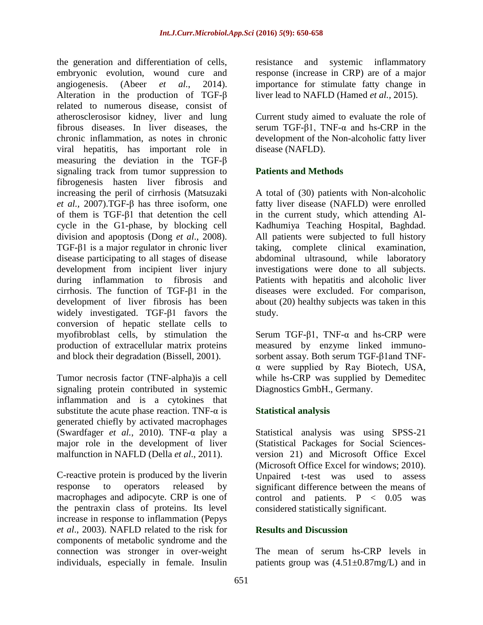the generation and differentiation of cells, embryonic evolution, wound cure and angiogenesis. (Abeer *[et al.](../../../pc/Desktop/Role%20of%20transforming%20growth%20factor-β1%20in%20serum%20and%20−509%20C)T%20promoter%20gene%20polymorphism%20in%20development%20of%20liver%20cirrhosis%20in%20Egyptian%20patients.htm)*, 2014). Alteration in the production of TGF-β related to numerous disease, consist of atherosclerosisor kidney, liver and lung fibrous diseases. In liver diseases, the chronic inflammation, as notes in chronic viral hepatitis, has important role in measuring the deviation in the TGF-β signaling track from tumor suppression to fibrogenesis hasten liver fibrosis and increasing the peril of cirrhosis (Matsuzaki *et al.,* 2007).TGF-β has three isoform, one of them is TGF-β1 that detention the cell cycle in the G1-phase, by blocking cell division and apoptosis (Dong *et al*., 2008). TGF-β1 is a major regulator in chronic liver disease participating to all stages of disease development from incipient liver injury during inflammation to fibrosis and cirrhosis. The function of TGF-β1 in the development of liver fibrosis has been widely investigated. TGF-β1 favors the conversion of hepatic stellate cells to myofibroblast cells, by stimulation the production of extracellular matrix proteins and block their degradation (Bissell, 2001).

Tumor necrosis factor (TNF-alpha)is a cell signaling protein contributed in systemic [inflammation](https://en.wikipedia.org/wiki/Inflammation) and is a cytokines that substitute the [acute phase reaction.](https://en.wikipedia.org/wiki/Acute_phase_reaction) TNF- $\alpha$  is generated chiefly by activated [macrophages](https://en.wikipedia.org/wiki/Macrophages) (Swardfager *et al.*, 2010). TNF-α play a major role in the development of liver malfunction in NAFLD (Della *et al*., 2011).

C-reactive protein is produced by the [liveri](https://en.wikipedia.org/wiki/Liver)n response to operators released by [macrophages](https://en.wikipedia.org/wiki/Macrophage) and adipocyte. CRP is one of the [pentraxin](https://en.wikipedia.org/wiki/Pentraxin) class of proteins. Its level increase in response to [inflammation \(](https://en.wikipedia.org/wiki/Inflammation)Pepys *et al*., 2003). NAFLD related to the risk for components of metabolic syndrome and the connection was stronger in over-weight individuals, especially in female. Insulin

resistance and systemic inflammatory response (increase in CRP) are of a major importance for stimulate fatty change in liver lead to NAFLD (Hamed *et al.,* 2015).

Current study aimed to evaluate the role of serum TGF-β1, TNF-α and hs-CRP in the development of the Non-alcoholic fatty liver disease (NAFLD).

## **Patients and Methods**

A total of (30) patients with Non-alcoholic fatty liver disease (NAFLD) were enrolled in the current study, which attending Al-Kadhumiya Teaching Hospital, Baghdad. All patients were subjected to full history taking, complete clinical examination, abdominal ultrasound, while laboratory investigations were done to all subjects. Patients with hepatitis and alcoholic liver diseases were excluded. For comparison, about (20) healthy subjects was taken in this study.

Serum TGF- $\beta$ 1, TNF- $\alpha$  and hs-CRP were measured by enzyme linked immunosorbent assay. Both serum TGF-β1and TNFα were supplied by Ray Biotech, USA, while hs-CRP was supplied by Demeditec Diagnostics GmbH., Germany.

## **Statistical analysis**

Statistical analysis was using SPSS-21 (Statistical Packages for Social Sciencesversion 21) and Microsoft Office Excel (Microsoft Office Excel for windows; 2010). Unpaired t-test was used to assess significant difference between the means of control and patients.  $P < 0.05$  was considered statistically significant.

## **Results and Discussion**

The mean of serum hs-CRP levels in patients group was  $(4.51 \pm 0.87 \text{mg/L})$  and in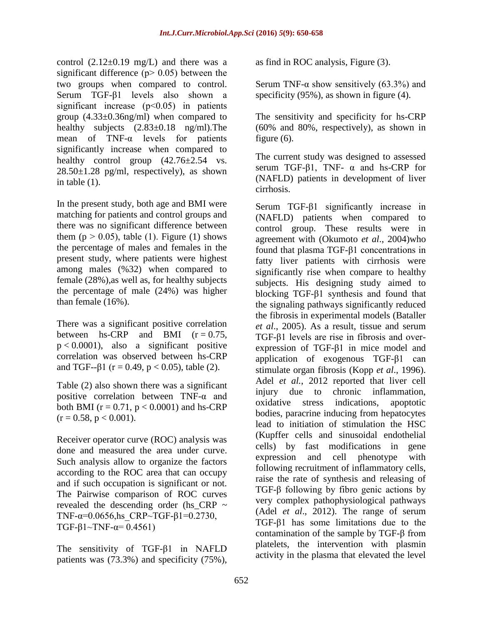control  $(2.12\pm0.19 \text{ mg/L})$  and there was a significant difference ( $p$  > 0.05) between the two groups when compared to control. Serum TGF-β1 levels also shown a significant increase  $(p<0.05)$  in patients group (4.33±0.36ng/ml) when compared to healthy subjects  $(2.83\pm0.18 \text{ ng/ml})$ . The mean of TNF-α levels for patients significantly increase when compared to healthy control group  $(42.76\pm2.54 \text{ vs.}$  $28.50\pm1.28$  pg/ml, respectively), as shown in table (1).

In the present study, both age and BMI were matching for patients and control groups and there was no significant difference between them ( $p > 0.05$ ), table (1). Figure (1) shows the percentage of males and females in the present study, where patients were highest among males (%32) when compared to female (28%),as well as, for healthy subjects the percentage of male (24%) was higher than female (16%).

There was a significant positive correlation between hs-CRP and BMI  $(r = 0.75,$  $p < 0.0001$ ), also a significant positive correlation was observed between hs-CRP and TGF-- $\beta$ 1 (r = 0.49, p < 0.05), table (2).

Table (2) also shown there was a significant positive correlation between TNF-α and both BMI ( $r = 0.71$ ,  $p < 0.0001$ ) and hs-CRP  $(r = 0.58, p < 0.001)$ .

Receiver operator curve (ROC) analysis was done and measured the area under curve. Such analysis allow to organize the factors according to the ROC area that can occupy and if such occupation is significant or not. The Pairwise comparison of ROC curves revealed the descending order (hs\_CRP ~ TNF-α= $0.0656$ ,hs CRP~TGF-β1= $0.2730$ , TGF-β1~TNF- $α= 0.4561$ )

The sensitivity of TGF-β1 in NAFLD patients was (73.3%) and specificity (75%),

as find in ROC analysis, Figure (3).

Serum TNF- $\alpha$  show sensitively (63.3%) and specificity (95%), as shown in figure (4).

The sensitivity and specificity for hs-CRP (60% and 80%, respectively), as shown in figure (6).

The current study was designed to assessed serum TGF-β1, TNF-  $\alpha$  and hs-CRP for (NAFLD) patients in development of liver cirrhosis.

Serum TGF-β1 significantly increase in (NAFLD) patients when compared to control group. These results were in agreement with (Okumoto *et al*., 2004)who found that plasma TGF-β1 concentrations in fatty liver patients with cirrhosis were significantly rise when compare to healthy subjects. His designing study aimed to blocking TGF-β1 synthesis and found that the signaling pathways significantly reduced the fibrosis in experimental models (Bataller *et al*., 2005). As a result, tissue and serum TGF-β1 levels are rise in fibrosis and overexpression of TGF-β1 in mice model and application of exogenous TGF-β1 can stimulate organ fibrosis (Kopp *et al*., 1996). [Adel](http://www.ncbi.nlm.nih.gov/pubmed/?term=Mahmoud%20AA%5BAuthor%5D&cauthor=true&cauthor_uid=23006461) *et al.*, 2012 reported that liver cell injury due to chronic inflammation, oxidative stress indications, apoptotic bodies, paracrine inducing from hepatocytes lead to initiation of stimulation the HSC (Kupffer cells and sinusoidal endothelial cells) by fast modifications in gene expression and cell phenotype with following recruitment of inflammatory cells, raise the rate of synthesis and releasing of TGF-β following by fibro genic actions by very complex pathophysiological pathways [\(Adel](http://www.ncbi.nlm.nih.gov/pubmed/?term=Mahmoud%20AA%5BAuthor%5D&cauthor=true&cauthor_uid=23006461) *et al*., 2012). The range of serum TGF-β1 has some limitations due to the contamination of the sample by TGF-β from platelets, the intervention with plasmin activity in the plasma that elevated the level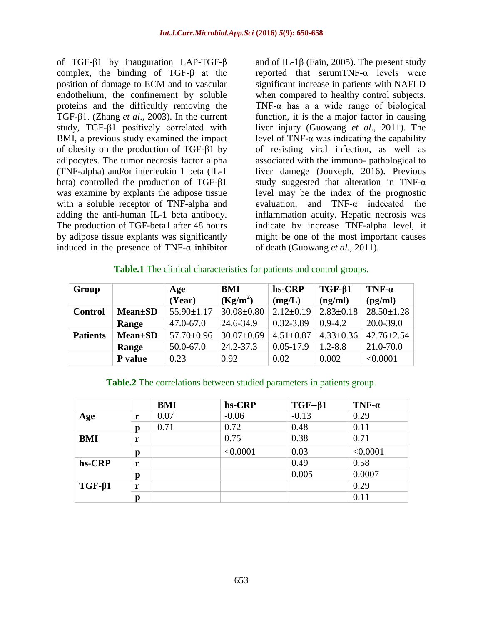of TGF-β1 by inauguration LAP-TGF-β complex, the binding of TGF-β at the position of damage to ECM and to vascular endothelium, the confinement by soluble proteins and the difficultly removing the TGF-β1. (Zhang *et al*., 2003). In the current study, TGF-β1 positively correlated with BMI, a previous study examined the impact of obesity on the production of TGF-β1 by adipocytes. The tumor necrosis factor alpha (TNF-alpha) and/or interleukin 1 beta (IL-1 beta) controlled the production of TGF-β1 was examine by explants the adipose tissue with a soluble receptor of TNF-alpha and adding the anti-human IL-1 beta antibody. The production of TGF-beta1 after 48 hours by adipose tissue explants was significantly induced in the presence of TNF- $\alpha$  inhibitor

and of IL-1β [\(Fain,](http://www.ncbi.nlm.nih.gov/pubmed/?term=Fain%20JN%5BAuthor%5D&cauthor=true&cauthor_uid=16253647) 2005). The present study reported that serumTNF-α levels were significant increase in patients with NAFLD when compared to healthy control subjects. TNF- $\alpha$  has a a wide range of biological function, it is the a major factor in causing liver injury (Guowang *et al*., 2011). The level of TNF-α was indicating the capability of resisting viral infection, as well as associated with the immuno- pathological to liver damege (Jouxeph, 2016). Previous study suggested that alteration in TNF- $\alpha$ level may be the index of the prognostic evaluation, and TNF-α indecated the inflammation acuity. Hepatic necrosis was indicate by increase TNF-alpha level, it might be one of the most important causes of death (Guowang *et al*., 2011).

#### **Table.1** The clinical characteristics for patients and control groups.

| Group           |                 | Age              | BMI              | hs-CRP          | $TGF-\beta1$    | TNF- $\alpha$    |
|-----------------|-----------------|------------------|------------------|-----------------|-----------------|------------------|
|                 |                 | (Year)           | $(Kg/m^2)$       | (mg/L)          | (ng/ml)         | (pg/ml)          |
| <b>Control</b>  | <b>Mean</b> ±SD | $55.90 \pm 1.17$ | $30.08 \pm 0.80$ | $2.12 \pm 0.19$ | $2.83 \pm 0.18$ | $28.50 \pm 1.28$ |
|                 | Range           | $47.0 - 67.0$    | 24.6-34.9        | 0.32-3.89       | $0.9 - 4.2$     | $20.0 - 39.0$    |
| <b>Patients</b> | <b>Mean</b> ±SD | $57.70 \pm 0.96$ | $30.07 \pm 0.69$ | $4.51 \pm 0.87$ | $4.33 \pm 0.36$ | $42.76 \pm 2.54$ |
|                 | Range           | 50.0-67.0        | 24.2-37.3        | $0.05 - 17.9$   | $1.2 - 8.8$     | 21.0-70.0        |
|                 | P value         | 0.23             | 0.92             | 0.02            | 0.002           | < 0.0001         |

#### **Table.2** The correlations between studied parameters in patients group.

|              |   | <b>BMI</b> | hs-CRP   | $TGF - \beta 1$ | $TNF-a$  |
|--------------|---|------------|----------|-----------------|----------|
| Age          | r | 0.07       | $-0.06$  | $-0.13$         | 0.29     |
|              | p | 0.71       | 0.72     | 0.48            | 0.11     |
| BMI          | r |            | 0.75     | 0.38            | 0.71     |
|              | p |            | < 0.0001 | 0.03            | < 0.0001 |
| hs-CRP       | r |            |          | 0.49            | 0.58     |
|              | p |            |          | 0.005           | 0.0007   |
| $TGF-\beta1$ | r |            |          |                 | 0.29     |
|              |   |            |          |                 | 0.11     |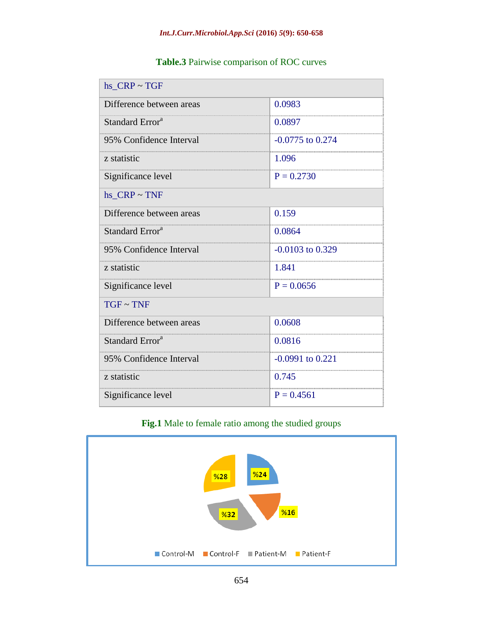| hs $CRP \sim TGF$           |                      |  |  |  |  |
|-----------------------------|----------------------|--|--|--|--|
| Difference between areas    | 0.0983               |  |  |  |  |
| Standard Error <sup>a</sup> | 0.0897               |  |  |  |  |
| 95% Confidence Interval     | $-0.0775$ to 0.274   |  |  |  |  |
| z statistic                 | 1.096                |  |  |  |  |
| Significance level          | $P = 0.2730$         |  |  |  |  |
| hs $CRP \sim TNF$           |                      |  |  |  |  |
| Difference between areas    | 0.159                |  |  |  |  |
| Standard Error <sup>a</sup> | 0.0864               |  |  |  |  |
| 95% Confidence Interval     | $-0.0103$ to 0.329   |  |  |  |  |
| z statistic                 | 1.841                |  |  |  |  |
| Significance level          | $P = 0.0656$         |  |  |  |  |
| $TGF \sim TNF$              |                      |  |  |  |  |
| Difference between areas    | 0.0608               |  |  |  |  |
| Standard Error <sup>a</sup> | 0.0816               |  |  |  |  |
| 95% Confidence Interval     | $-0.0991$ to $0.221$ |  |  |  |  |
| z statistic                 | 0.745                |  |  |  |  |
| Significance level          | $P = 0.4561$         |  |  |  |  |

## **Table.3** Pairwise comparison of ROC curves

# **Fig.1** Male to female ratio among the studied groups

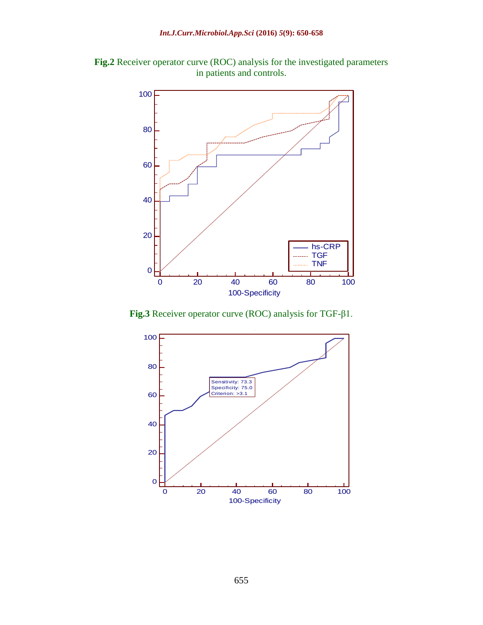**Fig.2** Receiver operator curve (ROC) analysis for the investigated parameters in patients and controls.



**Fig.3** Receiver operator curve (ROC) analysis for TGF-β1.

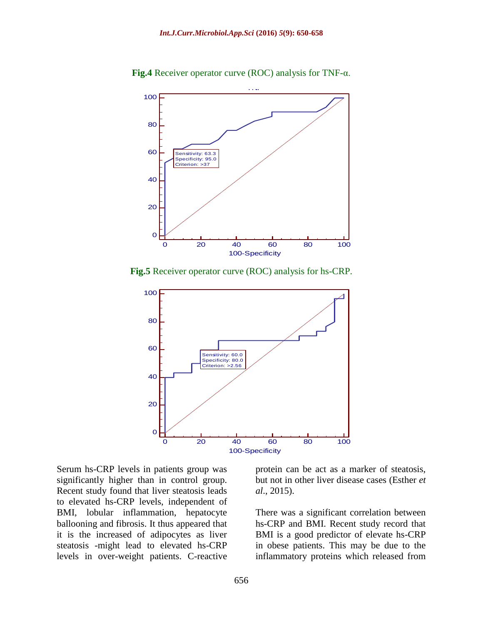

**Fig.4** Receiver operator curve (ROC) analysis for TNF-α.

**Fig.5** Receiver operator curve (ROC) analysis for hs-CRP.



Serum hs-CRP levels in patients group was significantly higher than in control group. Recent study found that liver steatosis leads to elevated hs-CRP levels, independent of BMI, lobular inflammation, hepatocyte ballooning and fibrosis. It thus appeared that it is the increased of adipocytes as liver steatosis -might lead to elevated hs-CRP levels in over-weight patients. C-reactive

protein can be act as a marker of steatosis, but not in other liver disease cases (Esther *et al*., 2015).

There was a significant correlation between hs-CRP and BMI. Recent study record that BMI is a good predictor of elevate hs-CRP in obese patients. This may be due to the inflammatory proteins which released from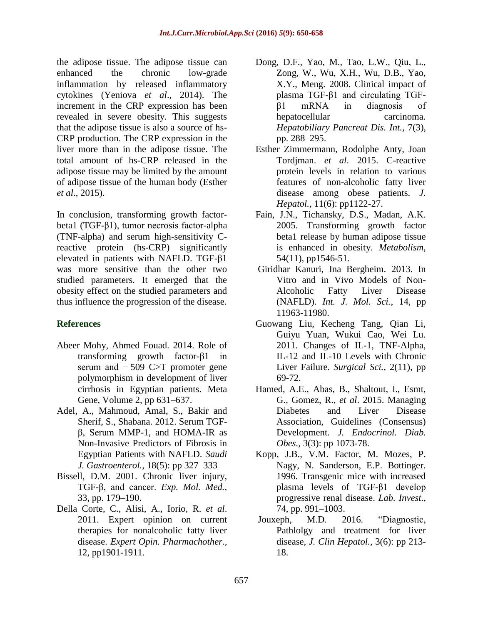the adipose tissue. The adipose tissue can enhanced the chronic low-grade inflammation by released inflammatory cytokines [\(Yeniova](http://www.ncbi.nlm.nih.gov/pubmed/?term=Yeniova%20AO%5BAuthor%5D&cauthor=true&cauthor_uid=24901154) *et al*., 2014). The increment in the CRP expression has been revealed in severe obesity. This suggests that the adipose tissue is also a source of hs-CRP production. The CRP expression in the liver more than in the adipose tissue. The total amount of hs-CRP released in the adipose tissue may be limited by the amount of adipose tissue of the human body (Esther *et al*., 2015).

In conclusion, transforming growth factorbeta1 (TGF-β1), tumor necrosis factor-alpha (TNF-alpha) and serum high-sensitivity Creactive protein (hs-CRP) significantly elevated in patients with NAFLD. TGF-β1 was more sensitive than the other two studied parameters. It emerged that the obesity effect on the studied parameters and thus influence the progression of the disease.

## **References**

- [Abeer Mohy, Ahmed Fouad.](../../../pc/Desktop/Role%20of%20transforming%20growth%20factor-β1%20in%20serum%20and%20−509%20C)T%20promoter%20gene%20polymorphism%20in%20development%20of%20liver%20cirrhosis%20in%20Egyptian%20patients.htm) 2014. Role of transforming growth factor-β1 in serum and − 509 C>T promoter gene polymorphism in development of liver cirrhosis in Egyptian patients. [Meta](http://www.sciencedirect.com/science/journal/22145400)  [Gene,](http://www.sciencedirect.com/science/journal/22145400) [Volume 2,](http://www.sciencedirect.com/science/journal/22145400/2/supp/C) pp 631–637.
- Adel, A., [Mahmoud,](http://www.ncbi.nlm.nih.gov/pubmed/?term=Mahmoud%20AA%5BAuthor%5D&cauthor=true&cauthor_uid=23006461) [Amal,](http://www.ncbi.nlm.nih.gov/pubmed/?term=Bakir%20AS%5BAuthor%5D&cauthor=true&cauthor_uid=23006461) S., Bakir and Sherif, S., [Shabana.](http://www.ncbi.nlm.nih.gov/pubmed/?term=Shabana%20SS%5BAuthor%5D&cauthor=true&cauthor_uid=23006461) 2012. Serum TGFβ, Serum MMP-1, and HOMA-IR as Non-Invasive Predictors of Fibrosis in Egyptian Patients with NAFLD. *[Saudi](http://www.ncbi.nlm.nih.gov/pmc/articles/PMC3500022/)  J. [Gastroenterol.](http://www.ncbi.nlm.nih.gov/pmc/articles/PMC3500022/),* 18(5): pp 327–333
- Bissell, D.M. 2001. Chronic liver injury, TGF-β, and cancer. *Exp. Mol. Med.,* 33, pp. 179–190.
- Della Corte, C., Alisi, A., Iorio, R. *et al*. 2011. Expert opinion on current therapies for nonalcoholic fatty liver disease. *Expert Opin. Pharmachother.,* 12, pp1901-1911.
- Dong, D.F., Yao, M., Tao, L.W., Qiu, L., Zong, W., Wu, X.H., Wu, D.B., Yao, X.Y., Meng. 2008. Clinical impact of plasma TGF-β1 and circulating TGFβ1 mRNA in diagnosis of hepatocellular carcinoma. *Hepatobiliary Pancreat Dis. Int.,* 7(3), pp. 288–295.
- Esther Zimmermann, Rodolphe Anty, Joan Tordjman. *et al*. 2015. C-reactive protein levels in relation to various features of non-alcoholic fatty liver disease among obese patients. *J. Hepatol.,* 11(6): pp1122-27.
- [Fain,](http://www.ncbi.nlm.nih.gov/pubmed/?term=Fain%20JN%5BAuthor%5D&cauthor=true&cauthor_uid=16253647) J.N., [Tichansky,](http://www.ncbi.nlm.nih.gov/pubmed/?term=Tichansky%20DS%5BAuthor%5D&cauthor=true&cauthor_uid=16253647) D.S., [Madan,](http://www.ncbi.nlm.nih.gov/pubmed/?term=Madan%20AK%5BAuthor%5D&cauthor=true&cauthor_uid=16253647) A.K. 2005. Transforming growth factor beta1 release by human adipose tissue is enhanced in obesity. *[Metabolism,](http://www.ncbi.nlm.nih.gov/pubmed/16253647)*  54(11), pp1546-51.
- Giridhar Kanuri, Ina Bergheim. 2013. In Vitro and in Vivo Models of Non-Alcoholic Fatty Liver Disease (NAFLD). *Int. J. Mol. Sci.*, 14, pp 11963-11980.
- Guowang Liu, Kecheng Tang, Qian Li, Guiyu Yuan, Wukui Cao, Wei Lu. 2011. Changes of IL-1, TNF-Alpha, IL-12 and IL-10 Levels with Chronic Liver Failure. *Surgical Sci.,* 2(11), pp 69-72.
- Hamed, A.E., Abas, B., Shaltout, I., Esmt, G., Gomez, R., *et al*. 2015. Managing Diabetes and Liver Disease Association, Guidelines (Consensus) Development. *J. Endocrinol. Diab. Obes.,* 3(3): pp 1073-78.
- Kopp, J.B., V.M. Factor, M. Mozes, P. Nagy, N. Sanderson, E.P. Bottinger. 1996. Transgenic mice with increased plasma levels of TGF-β1 develop progressive renal disease. *Lab. Invest.,* 74, pp. 991–1003.
- Jouxeph, M.D. 2016. "Diagnostic, Pathlolgy and treatment for liver disease, *J. Clin Hepatol.,* 3(6): pp 213- 18.